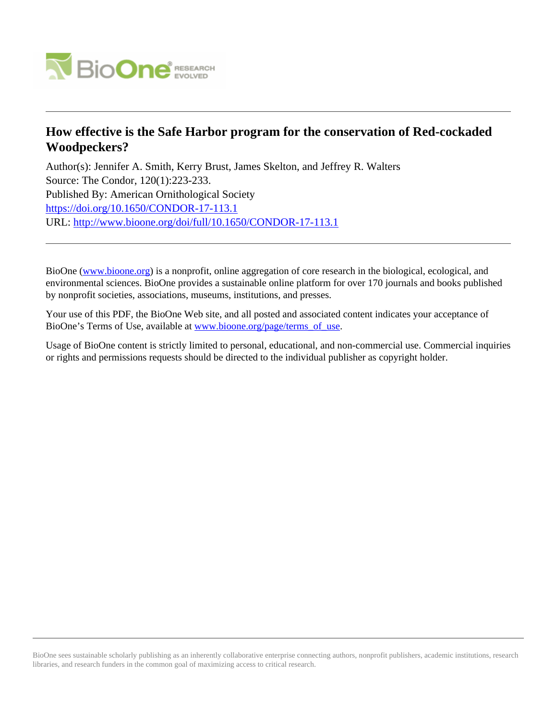

# **How effective is the Safe Harbor program for the conservation of Red-cockaded Woodpeckers?**

Author(s): Jennifer A. Smith, Kerry Brust, James Skelton, and Jeffrey R. Walters Source: The Condor, 120(1):223-233. Published By: American Ornithological Society <https://doi.org/10.1650/CONDOR-17-113.1> URL: <http://www.bioone.org/doi/full/10.1650/CONDOR-17-113.1>

BioOne [\(www.bioone.org\)](http://www.bioone.org) is a nonprofit, online aggregation of core research in the biological, ecological, and environmental sciences. BioOne provides a sustainable online platform for over 170 journals and books published by nonprofit societies, associations, museums, institutions, and presses.

Your use of this PDF, the BioOne Web site, and all posted and associated content indicates your acceptance of BioOne's Terms of Use, available at [www.bioone.org/page/terms\\_of\\_use.](http://www.bioone.org/page/terms_of_use)

Usage of BioOne content is strictly limited to personal, educational, and non-commercial use. Commercial inquiries or rights and permissions requests should be directed to the individual publisher as copyright holder.

BioOne sees sustainable scholarly publishing as an inherently collaborative enterprise connecting authors, nonprofit publishers, academic institutions, research libraries, and research funders in the common goal of maximizing access to critical research.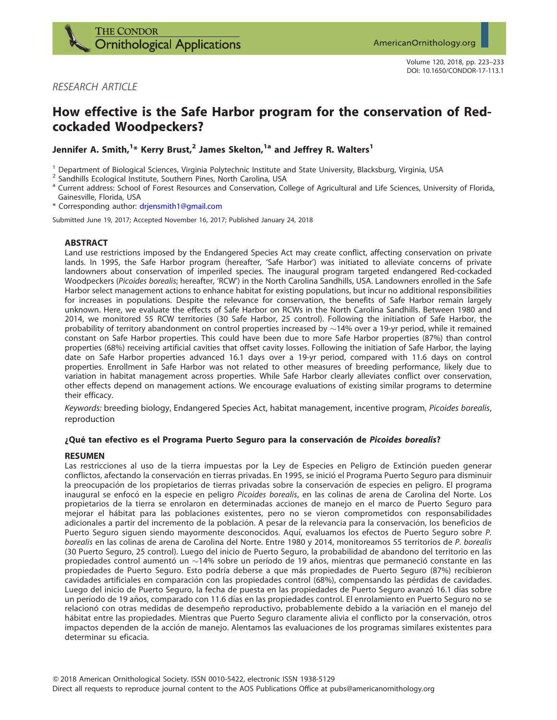

RESEARCH ARTICLE

# How effective is the Safe Harbor program for the conservation of Redcockaded Woodpeckers?

Jennifer A. Smith,<sup>1</sup>\* Kerry Brust,<sup>2</sup> James Skelton,<sup>1a</sup> and Jeffrey R. Walters<sup>1</sup>

<sup>1</sup> Department of Biological Sciences, Virginia Polytechnic Institute and State University, Blacksburg, Virginia, USA<br><sup>2</sup> Sandhills Ecological Institute, Southern Pines, North Carolina, USA<br><sup>a</sup> Current address: School of Gainesville, Florida, USA

\* Corresponding author: [drjensmith1@gmail.com](mailto:drjensmith1@gmail.com)

Submitted June 19, 2017; Accepted November 16, 2017; Published January 24, 2018

## ABSTRACT

Land use restrictions imposed by the Endangered Species Act may create conflict, affecting conservation on private lands. In 1995, the Safe Harbor program (hereafter, 'Safe Harbor') was initiated to alleviate concerns of private landowners about conservation of imperiled species. The inaugural program targeted endangered Red-cockaded Woodpeckers (Picoides borealis; hereafter, 'RCW') in the North Carolina Sandhills, USA. Landowners enrolled in the Safe Harbor select management actions to enhance habitat for existing populations, but incur no additional responsibilities for increases in populations. Despite the relevance for conservation, the benefits of Safe Harbor remain largely unknown. Here, we evaluate the effects of Safe Harbor on RCWs in the North Carolina Sandhills. Between 1980 and 2014, we monitored 55 RCW territories (30 Safe Harbor, 25 control). Following the initiation of Safe Harbor, the probability of territory abandonment on control properties increased by  $\sim$ 14% over a 19-yr period, while it remained constant on Safe Harbor properties. This could have been due to more Safe Harbor properties (87%) than control properties (68%) receiving artificial cavities that offset cavity losses. Following the initiation of Safe Harbor, the laying date on Safe Harbor properties advanced 16.1 days over a 19-yr period, compared with 11.6 days on control properties. Enrollment in Safe Harbor was not related to other measures of breeding performance, likely due to variation in habitat management across properties. While Safe Harbor clearly alleviates conflict over conservation, other effects depend on management actions. We encourage evaluations of existing similar programs to determine their efficacy.

Keywords: breeding biology, Endangered Species Act, habitat management, incentive program, Picoides borealis, reproduction

## ¿Qué tan efectivo es el Programa Puerto Seguro para la conservación de Picoides borealis?

## RESUMEN

Las restricciones al uso de la tierra impuestas por la Ley de Especies en Peligro de Extinción pueden generar conflictos, afectando la conservación en tierras privadas. En 1995, se inició el Programa Puerto Seguro para disminuir la preocupación de los propietarios de tierras privadas sobre la conservación de especies en peligro. El programa inaugural se enfocó en la especie en peligro Picoides borealis, en las colinas de arena de Carolina del Norte. Los propietarios de la tierra se enrolaron en determinadas acciones de manejo en el marco de Puerto Seguro para mejorar el ha´bitat para las poblaciones existentes, pero no se vieron comprometidos con responsabilidades adicionales a partir del incremento de la población. A pesar de la relevancia para la conservación, los beneficios de Puerto Seguro siguen siendo mayormente desconocidos. Aquí, evaluamos los efectos de Puerto Seguro sobre P. borealis en las colinas de arena de Carolina del Norte. Entre 1980 y 2014, monitoreamos 55 territorios de P. borealis (30 Puerto Seguro, 25 control). Luego del inicio de Puerto Seguro, la probabilidad de abandono del territorio en las propiedades control aumentó un  $\sim$ 14% sobre un período de 19 años, mientras que permaneció constante en las propiedades de Puerto Seguro. Esto podría deberse a que más propiedades de Puerto Seguro (87%) recibieron cavidades artificiales en comparación con las propiedades control (68%), compensando las pérdidas de cavidades. Luego del inicio de Puerto Seguro, la fecha de puesta en las propiedades de Puerto Seguro avanzó 16.1 días sobre un período de 19 años, comparado con 11.6 días en las propiedades control. El enrolamiento en Puerto Seguro no se relacionó con otras medidas de desempeño reproductivo, probablemente debido a la variación en el manejo del hábitat entre las propiedades. Mientras que Puerto Seguro claramente alivia el conflicto por la conservación, otros impactos dependen de la accion de manejo. Alentamos las evaluaciones de los programas similares existentes para ´ determinar su eficacia.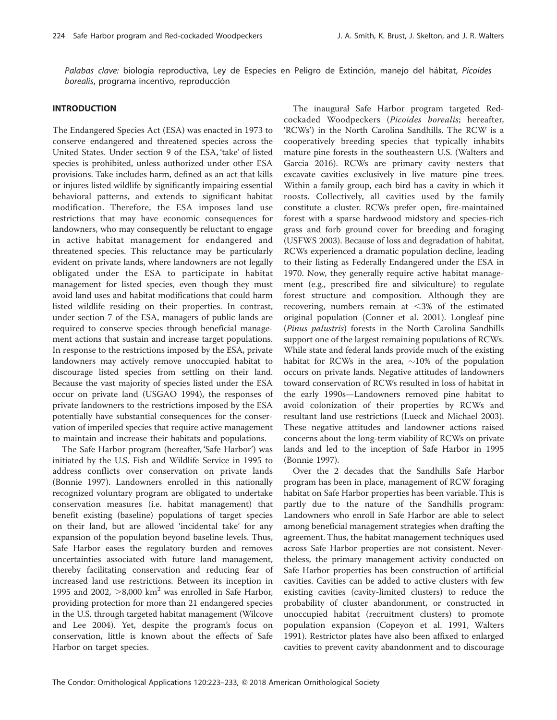Palabas clave: biología reproductiva, Ley de Especies en Peligro de Extinción, manejo del hábitat, Picoides borealis, programa incentivo, reproducción

# INTRODUCTION

The Endangered Species Act (ESA) was enacted in 1973 to conserve endangered and threatened species across the United States. Under section 9 of the ESA, 'take' of listed species is prohibited, unless authorized under other ESA provisions. Take includes harm, defined as an act that kills or injures listed wildlife by significantly impairing essential behavioral patterns, and extends to significant habitat modification. Therefore, the ESA imposes land use restrictions that may have economic consequences for landowners, who may consequently be reluctant to engage in active habitat management for endangered and threatened species. This reluctance may be particularly evident on private lands, where landowners are not legally obligated under the ESA to participate in habitat management for listed species, even though they must avoid land uses and habitat modifications that could harm listed wildlife residing on their properties. In contrast, under section 7 of the ESA, managers of public lands are required to conserve species through beneficial management actions that sustain and increase target populations. In response to the restrictions imposed by the ESA, private landowners may actively remove unoccupied habitat to discourage listed species from settling on their land. Because the vast majority of species listed under the ESA occur on private land (USGAO 1994), the responses of private landowners to the restrictions imposed by the ESA potentially have substantial consequences for the conservation of imperiled species that require active management to maintain and increase their habitats and populations.

The Safe Harbor program (hereafter, 'Safe Harbor') was initiated by the U.S. Fish and Wildlife Service in 1995 to address conflicts over conservation on private lands (Bonnie 1997). Landowners enrolled in this nationally recognized voluntary program are obligated to undertake conservation measures (i.e. habitat management) that benefit existing (baseline) populations of target species on their land, but are allowed 'incidental take' for any expansion of the population beyond baseline levels. Thus, Safe Harbor eases the regulatory burden and removes uncertainties associated with future land management, thereby facilitating conservation and reducing fear of increased land use restrictions. Between its inception in 1995 and 2002,  $>8,000$  km<sup>2</sup> was enrolled in Safe Harbor, providing protection for more than 21 endangered species in the U.S. through targeted habitat management (Wilcove and Lee 2004). Yet, despite the program's focus on conservation, little is known about the effects of Safe Harbor on target species.

The inaugural Safe Harbor program targeted Redcockaded Woodpeckers (Picoides borealis; hereafter, 'RCWs') in the North Carolina Sandhills. The RCW is a cooperatively breeding species that typically inhabits mature pine forests in the southeastern U.S. (Walters and Garcia 2016). RCWs are primary cavity nesters that excavate cavities exclusively in live mature pine trees. Within a family group, each bird has a cavity in which it roosts. Collectively, all cavities used by the family constitute a cluster. RCWs prefer open, fire-maintained forest with a sparse hardwood midstory and species-rich grass and forb ground cover for breeding and foraging (USFWS 2003). Because of loss and degradation of habitat, RCWs experienced a dramatic population decline, leading to their listing as Federally Endangered under the ESA in 1970. Now, they generally require active habitat management (e.g., prescribed fire and silviculture) to regulate forest structure and composition. Although they are recovering, numbers remain at  $\langle 3\%$  of the estimated original population (Conner et al. 2001). Longleaf pine (Pinus palustris) forests in the North Carolina Sandhills support one of the largest remaining populations of RCWs. While state and federal lands provide much of the existing habitat for RCWs in the area,  $\sim$ 10% of the population occurs on private lands. Negative attitudes of landowners toward conservation of RCWs resulted in loss of habitat in the early 1990s—Landowners removed pine habitat to avoid colonization of their properties by RCWs and resultant land use restrictions (Lueck and Michael 2003). These negative attitudes and landowner actions raised concerns about the long-term viability of RCWs on private lands and led to the inception of Safe Harbor in 1995 (Bonnie 1997).

Over the 2 decades that the Sandhills Safe Harbor program has been in place, management of RCW foraging habitat on Safe Harbor properties has been variable. This is partly due to the nature of the Sandhills program: Landowners who enroll in Safe Harbor are able to select among beneficial management strategies when drafting the agreement. Thus, the habitat management techniques used across Safe Harbor properties are not consistent. Nevertheless, the primary management activity conducted on Safe Harbor properties has been construction of artificial cavities. Cavities can be added to active clusters with few existing cavities (cavity-limited clusters) to reduce the probability of cluster abandonment, or constructed in unoccupied habitat (recruitment clusters) to promote population expansion (Copeyon et al. 1991, Walters 1991). Restrictor plates have also been affixed to enlarged cavities to prevent cavity abandonment and to discourage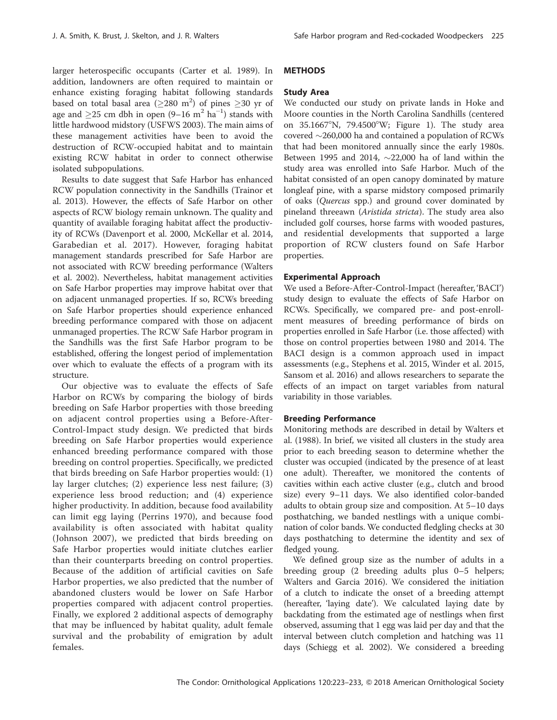larger heterospecific occupants (Carter et al. 1989). In addition, landowners are often required to maintain or enhance existing foraging habitat following standards based on total basal area ( $\geq$ 280 m<sup>2</sup>) of pines  $\geq$ 30 yr of age and  $\geq$ 25 cm dbh in open (9–16 m<sup>2</sup> ha<sup>-1</sup>) stands with little hardwood midstory (USFWS 2003). The main aims of these management activities have been to avoid the destruction of RCW-occupied habitat and to maintain existing RCW habitat in order to connect otherwise isolated subpopulations.

Results to date suggest that Safe Harbor has enhanced RCW population connectivity in the Sandhills (Trainor et al. 2013). However, the effects of Safe Harbor on other aspects of RCW biology remain unknown. The quality and quantity of available foraging habitat affect the productivity of RCWs (Davenport et al. 2000, McKellar et al. 2014, Garabedian et al. 2017). However, foraging habitat management standards prescribed for Safe Harbor are not associated with RCW breeding performance (Walters et al. 2002). Nevertheless, habitat management activities on Safe Harbor properties may improve habitat over that on adjacent unmanaged properties. If so, RCWs breeding on Safe Harbor properties should experience enhanced breeding performance compared with those on adjacent unmanaged properties. The RCW Safe Harbor program in the Sandhills was the first Safe Harbor program to be established, offering the longest period of implementation over which to evaluate the effects of a program with its structure.

Our objective was to evaluate the effects of Safe Harbor on RCWs by comparing the biology of birds breeding on Safe Harbor properties with those breeding on adjacent control properties using a Before-After-Control-Impact study design. We predicted that birds breeding on Safe Harbor properties would experience enhanced breeding performance compared with those breeding on control properties. Specifically, we predicted that birds breeding on Safe Harbor properties would: (1) lay larger clutches; (2) experience less nest failure; (3) experience less brood reduction; and (4) experience higher productivity. In addition, because food availability can limit egg laying (Perrins 1970), and because food availability is often associated with habitat quality (Johnson 2007), we predicted that birds breeding on Safe Harbor properties would initiate clutches earlier than their counterparts breeding on control properties. Because of the addition of artificial cavities on Safe Harbor properties, we also predicted that the number of abandoned clusters would be lower on Safe Harbor properties compared with adjacent control properties. Finally, we explored 2 additional aspects of demography that may be influenced by habitat quality, adult female survival and the probability of emigration by adult females.

# **METHODS**

# Study Area

We conducted our study on private lands in Hoke and Moore counties in the North Carolina Sandhills (centered on 35.1667°N, 79.4500°W; Figure 1). The study area covered  $\sim$ 260,000 ha and contained a population of RCWs that had been monitored annually since the early 1980s. Between 1995 and 2014,  $\sim$ 22,000 ha of land within the study area was enrolled into Safe Harbor. Much of the habitat consisted of an open canopy dominated by mature longleaf pine, with a sparse midstory composed primarily of oaks (Quercus spp.) and ground cover dominated by pineland threeawn (Aristida stricta). The study area also included golf courses, horse farms with wooded pastures, and residential developments that supported a large proportion of RCW clusters found on Safe Harbor properties.

# Experimental Approach

We used a Before-After-Control-Impact (hereafter, 'BACI') study design to evaluate the effects of Safe Harbor on RCWs. Specifically, we compared pre- and post-enrollment measures of breeding performance of birds on properties enrolled in Safe Harbor (i.e. those affected) with those on control properties between 1980 and 2014. The BACI design is a common approach used in impact assessments (e.g., Stephens et al. 2015, Winder et al. 2015, Sansom et al. 2016) and allows researchers to separate the effects of an impact on target variables from natural variability in those variables.

# Breeding Performance

Monitoring methods are described in detail by Walters et al. (1988). In brief, we visited all clusters in the study area prior to each breeding season to determine whether the cluster was occupied (indicated by the presence of at least one adult). Thereafter, we monitored the contents of cavities within each active cluster (e.g., clutch and brood size) every 9–11 days. We also identified color-banded adults to obtain group size and composition. At 5–10 days posthatching, we banded nestlings with a unique combination of color bands. We conducted fledgling checks at 30 days posthatching to determine the identity and sex of fledged young.

We defined group size as the number of adults in a breeding group (2 breeding adults plus 0–5 helpers; Walters and Garcia 2016). We considered the initiation of a clutch to indicate the onset of a breeding attempt (hereafter, 'laying date'). We calculated laying date by backdating from the estimated age of nestlings when first observed, assuming that 1 egg was laid per day and that the interval between clutch completion and hatching was 11 days (Schiegg et al. 2002). We considered a breeding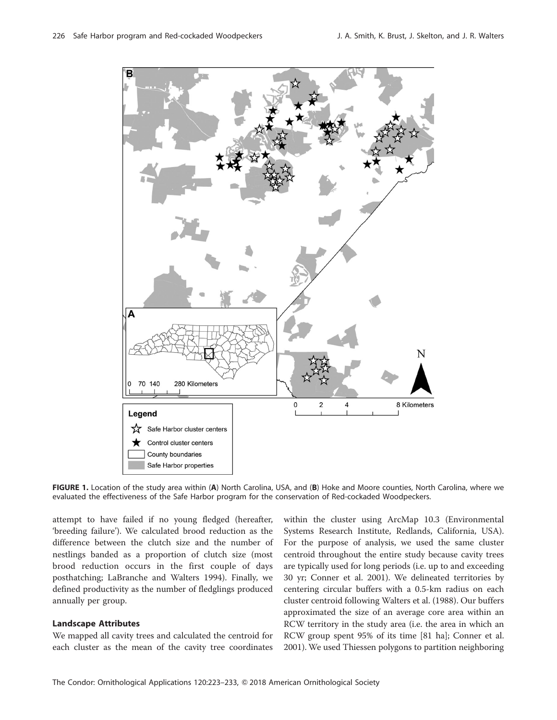

FIGURE 1. Location of the study area within (A) North Carolina, USA, and (B) Hoke and Moore counties, North Carolina, where we evaluated the effectiveness of the Safe Harbor program for the conservation of Red-cockaded Woodpeckers.

attempt to have failed if no young fledged (hereafter, 'breeding failure'). We calculated brood reduction as the difference between the clutch size and the number of nestlings banded as a proportion of clutch size (most brood reduction occurs in the first couple of days posthatching; LaBranche and Walters 1994). Finally, we defined productivity as the number of fledglings produced annually per group.

## Landscape Attributes

We mapped all cavity trees and calculated the centroid for each cluster as the mean of the cavity tree coordinates

within the cluster using ArcMap 10.3 (Environmental Systems Research Institute, Redlands, California, USA). For the purpose of analysis, we used the same cluster centroid throughout the entire study because cavity trees are typically used for long periods (i.e. up to and exceeding 30 yr; Conner et al. 2001). We delineated territories by centering circular buffers with a 0.5-km radius on each cluster centroid following Walters et al. (1988). Our buffers approximated the size of an average core area within an RCW territory in the study area (i.e. the area in which an RCW group spent 95% of its time [81 ha]; Conner et al. 2001). We used Thiessen polygons to partition neighboring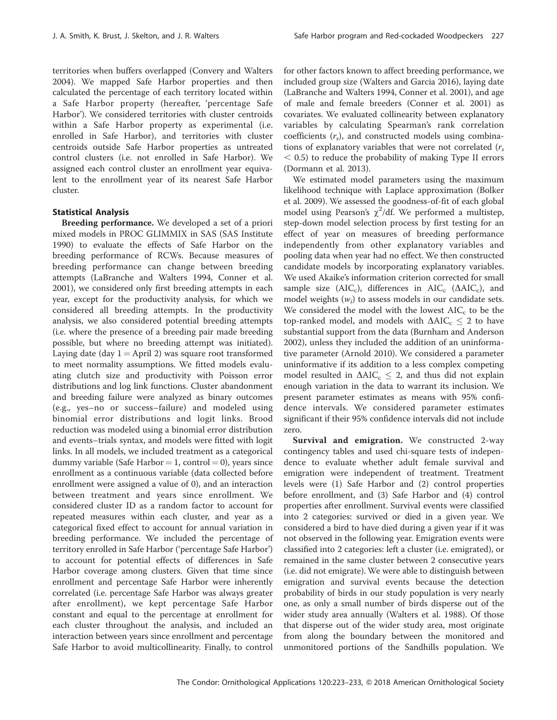territories when buffers overlapped (Convery and Walters 2004). We mapped Safe Harbor properties and then calculated the percentage of each territory located within a Safe Harbor property (hereafter, 'percentage Safe Harbor'). We considered territories with cluster centroids within a Safe Harbor property as experimental (i.e. enrolled in Safe Harbor), and territories with cluster centroids outside Safe Harbor properties as untreated control clusters (i.e. not enrolled in Safe Harbor). We assigned each control cluster an enrollment year equivalent to the enrollment year of its nearest Safe Harbor cluster.

## Statistical Analysis

Breeding performance. We developed a set of a priori mixed models in PROC GLIMMIX in SAS (SAS Institute 1990) to evaluate the effects of Safe Harbor on the breeding performance of RCWs. Because measures of breeding performance can change between breeding attempts (LaBranche and Walters 1994, Conner et al. 2001), we considered only first breeding attempts in each year, except for the productivity analysis, for which we considered all breeding attempts. In the productivity analysis, we also considered potential breeding attempts (i.e. where the presence of a breeding pair made breeding possible, but where no breeding attempt was initiated). Laying date (day  $1 =$  April 2) was square root transformed to meet normality assumptions. We fitted models evaluating clutch size and productivity with Poisson error distributions and log link functions. Cluster abandonment and breeding failure were analyzed as binary outcomes (e.g., yes–no or success–failure) and modeled using binomial error distributions and logit links. Brood reduction was modeled using a binomial error distribution and events–trials syntax, and models were fitted with logit links. In all models, we included treatment as a categorical dummy variable (Safe Harbor  $= 1$ , control  $= 0$ ), years since enrollment as a continuous variable (data collected before enrollment were assigned a value of 0), and an interaction between treatment and years since enrollment. We considered cluster ID as a random factor to account for repeated measures within each cluster, and year as a categorical fixed effect to account for annual variation in breeding performance. We included the percentage of territory enrolled in Safe Harbor ('percentage Safe Harbor') to account for potential effects of differences in Safe Harbor coverage among clusters. Given that time since enrollment and percentage Safe Harbor were inherently correlated (i.e. percentage Safe Harbor was always greater after enrollment), we kept percentage Safe Harbor constant and equal to the percentage at enrollment for each cluster throughout the analysis, and included an interaction between years since enrollment and percentage Safe Harbor to avoid multicollinearity. Finally, to control

for other factors known to affect breeding performance, we included group size (Walters and Garcia 2016), laying date (LaBranche and Walters 1994, Conner et al. 2001), and age of male and female breeders (Conner et al. 2001) as covariates. We evaluated collinearity between explanatory variables by calculating Spearman's rank correlation coefficients  $(r<sub>s</sub>)$ , and constructed models using combinations of explanatory variables that were not correlated  $(r_s)$  $< 0.5$ ) to reduce the probability of making Type II errors (Dormann et al. 2013).

We estimated model parameters using the maximum likelihood technique with Laplace approximation (Bolker et al. 2009). We assessed the goodness-of-fit of each global model using Pearson's  $\chi^2$ /df. We performed a multistep, step-down model selection process by first testing for an effect of year on measures of breeding performance independently from other explanatory variables and pooling data when year had no effect. We then constructed candidate models by incorporating explanatory variables. We used Akaike's information criterion corrected for small sample size ( $AIC_c$ ), differences in  $AIC_c$  ( $\Delta AIC_c$ ), and model weights  $(w_i)$  to assess models in our candidate sets. We considered the model with the lowest  $AIC_c$  to be the top-ranked model, and models with  $\Delta AIC_c \leq 2$  to have substantial support from the data (Burnham and Anderson 2002), unless they included the addition of an uninformative parameter (Arnold 2010). We considered a parameter uninformative if its addition to a less complex competing model resulted in  $\Delta AIC_c \leq 2$ , and thus did not explain enough variation in the data to warrant its inclusion. We present parameter estimates as means with 95% confidence intervals. We considered parameter estimates significant if their 95% confidence intervals did not include zero.

Survival and emigration. We constructed 2-way contingency tables and used chi-square tests of independence to evaluate whether adult female survival and emigration were independent of treatment. Treatment levels were (1) Safe Harbor and (2) control properties before enrollment, and (3) Safe Harbor and (4) control properties after enrollment. Survival events were classified into 2 categories: survived or died in a given year. We considered a bird to have died during a given year if it was not observed in the following year. Emigration events were classified into 2 categories: left a cluster (i.e. emigrated), or remained in the same cluster between 2 consecutive years (i.e. did not emigrate). We were able to distinguish between emigration and survival events because the detection probability of birds in our study population is very nearly one, as only a small number of birds disperse out of the wider study area annually (Walters et al. 1988). Of those that disperse out of the wider study area, most originate from along the boundary between the monitored and unmonitored portions of the Sandhills population. We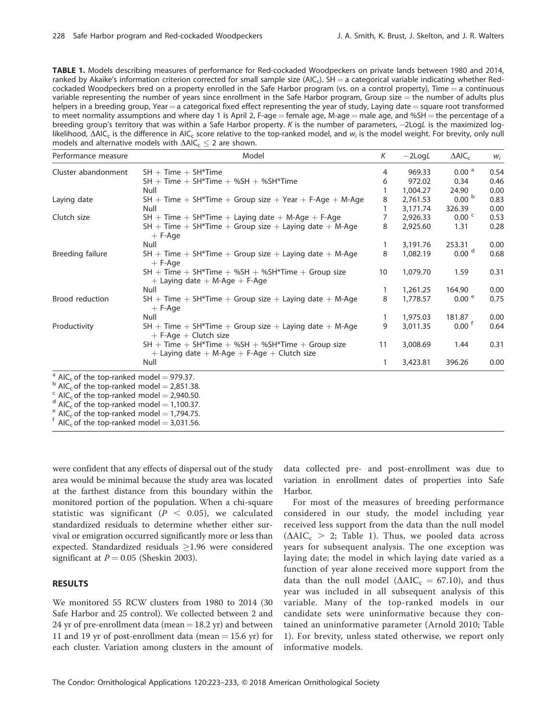TABLE 1. Models describing measures of performance for Red-cockaded Woodpeckers on private lands between 1980 and 2014, ranked by Akaike's information criterion corrected for small sample size (AIC<sub>c</sub>). SH = a categorical variable indicating whether Redcockaded Woodpeckers bred on a property enrolled in the Safe Harbor program (vs. on a control property), Time  $=$  a continuous variable representing the number of years since enrollment in the Safe Harbor program, Group size  $=$  the number of adults plus helpers in a breeding group, Year  $=$  a categorical fixed effect representing the year of study, Laying date  $=$  square root transformed to meet normality assumptions and where day 1 is April 2, F-age = female age, M-age = male age, and %SH = the percentage of a breeding group's territory that was within a Safe Harbor property. K is the number of parameters,  $-2$ LogL is the maximized loglikelihood,  $\Delta$ AIC<sub>c</sub> is the difference in AIC<sub>c</sub> score relative to the top-ranked model, and  $w_i$  is the model weight. For brevity, only null models and alternative models with  $\Delta AIC_c \leq 2$  are shown.

| Performance measure                                                                                                                                                                                                                                       | Model                                                                                                          | К  | $-2$ LogL | $\triangle$ AIC <sub>c</sub> | $W_i$ |
|-----------------------------------------------------------------------------------------------------------------------------------------------------------------------------------------------------------------------------------------------------------|----------------------------------------------------------------------------------------------------------------|----|-----------|------------------------------|-------|
| Cluster abandonment                                                                                                                                                                                                                                       | $SH + Time + SH*Time$                                                                                          | 4  | 969.33    | 0.00 <sup>a</sup>            | 0.54  |
|                                                                                                                                                                                                                                                           | $SH + Time + SH^*Time + \%SH + \%SH^*Time$                                                                     | 6  | 972.02    | 0.34                         | 0.46  |
|                                                                                                                                                                                                                                                           | Null                                                                                                           |    | 1,004.27  | 24.90                        | 0.00  |
| Laying date                                                                                                                                                                                                                                               | $SH + Time + SH^*Time + Group size + Year + F-Aqe + M-Aqe$                                                     | 8  | 2,761.53  | 0.00 <sup>b</sup>            | 0.83  |
|                                                                                                                                                                                                                                                           | Null                                                                                                           |    | 3,171.74  | 326.39                       | 0.00  |
| Clutch size                                                                                                                                                                                                                                               | $SH + Time + SH^*Time + Laying date + M-Age + F-Age$                                                           |    | 2,926.33  | $0.00 \text{ C}$             | 0.53  |
|                                                                                                                                                                                                                                                           | $SH + Time + SH^*Time + Group size + Laying date + M-Aqe$<br>$+$ F-Age                                         | 8  | 2,925.60  | 1.31                         | 0.28  |
|                                                                                                                                                                                                                                                           | Null                                                                                                           |    | 3,191.76  | 253.31                       | 0.00  |
| Breeding failure                                                                                                                                                                                                                                          | $SH + Time + SH^*Time + Group size + Laying date + M-Aqe$<br>$+$ F-Age                                         | 8  | 1,082.19  | 0.00 <sup>d</sup>            | 0.68  |
|                                                                                                                                                                                                                                                           | $SH + Time + SH^*Time + \%SH + \%SH^*Time + Group size$<br>$+$ Laying date $+$ M-Age $+$ F-Age                 | 10 | 1,079.70  | 1.59                         | 0.31  |
|                                                                                                                                                                                                                                                           | Null                                                                                                           |    | 1,261.25  | 164.90                       | 0.00  |
| Brood reduction                                                                                                                                                                                                                                           | $SH + Time + SH^* Time + Group size + Laying date + M-Aqe$<br>$+$ F-Age                                        | 8  | 1,778.57  | 0.00 <sup>e</sup>            | 0.75  |
|                                                                                                                                                                                                                                                           | Null                                                                                                           |    | 1,975.03  | 181.87                       | 0.00  |
| Productivity                                                                                                                                                                                                                                              | $SH + Time + SH^*Time + Group size + Laying date + M-Age$<br>$+$ F-Age $+$ Clutch size                         | 9  | 3,011.35  | $0.00^{\mathrm{t}}$          | 0.64  |
|                                                                                                                                                                                                                                                           | $SH + Time + SH^*Time + \%SH + \%SH^*Time + Group size$<br>$+$ Laying date $+$ M-Age $+$ F-Age $+$ Clutch size | 11 | 3,008.69  | 1.44                         | 0.31  |
|                                                                                                                                                                                                                                                           | Null                                                                                                           |    | 3,423.81  | 396.26                       | 0.00  |
| <sup>a</sup> AIC <sub>c</sub> of the top-ranked model = 979.37.<br>$^{b}$ AIC <sub>c</sub> of the top-ranked model = 2,851.38.<br>$\textdegree$ AIC, of the top-ranked model = 2,940.50.<br>$0 \text{ AU}$ $\sim$ false term resolved as a del $-1.10027$ |                                                                                                                |    |           |                              |       |

 $\text{AIC}_{\text{c}}$  of the top-ranked model = 1,100.37.<br>AIC<sub>c</sub> of the top-ranked model = 1,794.75.<br>AIC<sub>c</sub> of the top-ranked model = 3,031.56.

were confident that any effects of dispersal out of the study area would be minimal because the study area was located at the farthest distance from this boundary within the monitored portion of the population. When a chi-square statistic was significant ( $P < 0.05$ ), we calculated standardized residuals to determine whether either survival or emigration occurred significantly more or less than expected. Standardized residuals  $\geq$ 1.96 were considered significant at  $P = 0.05$  (Sheskin 2003).

# RESULTS

We monitored 55 RCW clusters from 1980 to 2014 (30 Safe Harbor and 25 control). We collected between 2 and 24 yr of pre-enrollment data (mean  $=$  18.2 yr) and between 11 and 19 yr of post-enrollment data (mean  $=$  15.6 yr) for each cluster. Variation among clusters in the amount of data collected pre- and post-enrollment was due to variation in enrollment dates of properties into Safe Harbor.

For most of the measures of breeding performance considered in our study, the model including year received less support from the data than the null model  $(\Delta AIC_c > 2;$  Table 1). Thus, we pooled data across years for subsequent analysis. The one exception was laying date; the model in which laying date varied as a function of year alone received more support from the data than the null model ( $\Delta AIC_c = 67.10$ ), and thus year was included in all subsequent analysis of this variable. Many of the top-ranked models in our candidate sets were uninformative because they contained an uninformative parameter (Arnold 2010; Table 1). For brevity, unless stated otherwise, we report only informative models.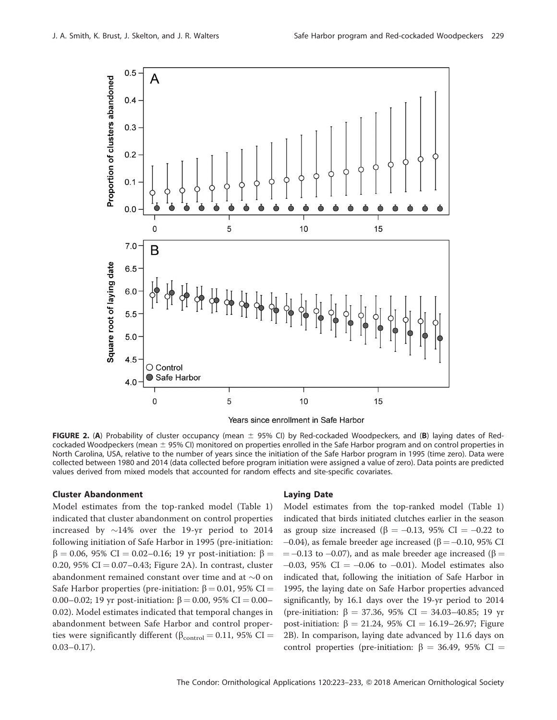

Years since enrollment in Safe Harbor

FIGURE 2. (A) Probability of cluster occupancy (mean  $\pm$  95% CI) by Red-cockaded Woodpeckers, and (B) laying dates of Redcockaded Woodpeckers (mean  $\pm$  95% CI) monitored on properties enrolled in the Safe Harbor program and on control properties in North Carolina, USA, relative to the number of years since the initiation of the Safe Harbor program in 1995 (time zero). Data were collected between 1980 and 2014 (data collected before program initiation were assigned a value of zero). Data points are predicted values derived from mixed models that accounted for random effects and site-specific covariates.

## Cluster Abandonment

Model estimates from the top-ranked model (Table 1) indicated that cluster abandonment on control properties increased by  $\sim$ 14% over the 19-yr period to 2014 following initiation of Safe Harbor in 1995 (pre-initiation:  $β = 0.06$ , 95% CI = 0.02–0.16; 19 yr post-initiation: β = 0.20, 95% CI =  $0.07 - 0.43$ ; Figure 2A). In contrast, cluster abandonment remained constant over time and at  $\sim$ 0 on Safe Harbor properties (pre-initiation:  $\beta = 0.01$ , 95% CI = 0.00–0.02; 19 yr post-initiation:  $\beta = 0.00$ , 95% CI = 0.00– 0.02). Model estimates indicated that temporal changes in abandonment between Safe Harbor and control properties were significantly different ( $\beta_{control} = 0.11$ , 95% CI = 0.03–0.17).

## Laying Date

Model estimates from the top-ranked model (Table 1) indicated that birds initiated clutches earlier in the season as group size increased ( $\beta = -0.13$ , 95% CI = -0.22 to  $-0.04$ ), as female breeder age increased ( $\beta = -0.10$ , 95% CI  $=$  -0.13 to -0.07), and as male breeder age increased ( $\beta$  =  $-0.03$ , 95% CI =  $-0.06$  to  $-0.01$ ). Model estimates also indicated that, following the initiation of Safe Harbor in 1995, the laying date on Safe Harbor properties advanced significantly, by 16.1 days over the 19-yr period to 2014 (pre-initiation:  $\beta = 37.36$ , 95% CI = 34.03-40.85; 19 yr post-initiation:  $\beta = 21.24$ , 95% CI = 16.19–26.97; Figure 2B). In comparison, laying date advanced by 11.6 days on control properties (pre-initiation:  $\beta = 36.49, 95\%$  CI =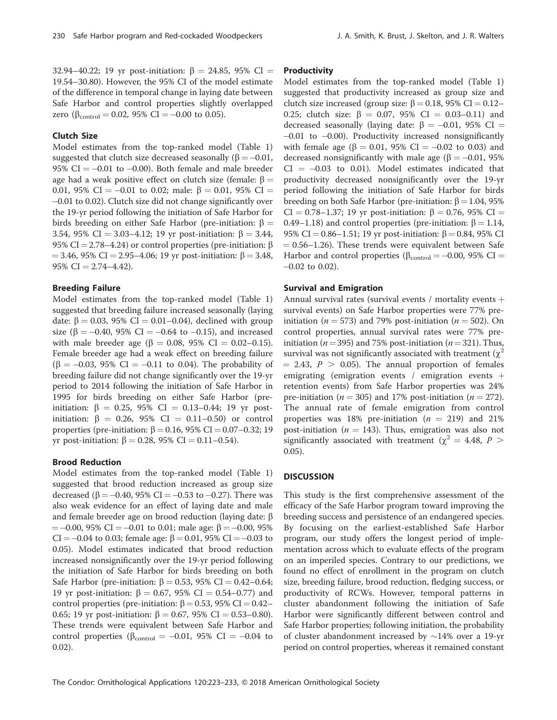32.94–40.22; 19 yr post-initiation:  $\beta = 24.85$ , 95% CI = 19.54–30.80). However, the 95% CI of the model estimate of the difference in temporal change in laying date between Safe Harbor and control properties slightly overlapped zero ( $\beta_{control} = 0.02$ , 95% CI = -0.00 to 0.05).

## Clutch Size

Model estimates from the top-ranked model (Table 1) suggested that clutch size decreased seasonally ( $\beta = -0.01$ , 95% CI =  $-0.01$  to  $-0.00$ ). Both female and male breeder age had a weak positive effect on clutch size (female:  $\beta =$ 0.01, 95% CI = -0.01 to 0.02; male:  $\beta$  = 0.01, 95% CI =  $-0.01$  to 0.02). Clutch size did not change significantly over the 19-yr period following the initiation of Safe Harbor for birds breeding on either Safe Harbor (pre-initiation:  $\beta =$ 3.54, 95% CI = 3.03–4.12; 19 yr post-initiation:  $\beta = 3.44$ , 95% CI = 2.78–4.24) or control properties (pre-initiation:  $\beta$  $= 3.46, 95\% \text{ CI} = 2.95 - 4.06; 19 \text{ yr post-initation: } \beta = 3.48,$  $95\%$  CI = 2.74-4.42).

#### Breeding Failure

Model estimates from the top-ranked model (Table 1) suggested that breeding failure increased seasonally (laying date:  $\beta = 0.03$ , 95% CI = 0.01–0.04), declined with group size ( $\beta = -0.40$ , 95% CI = -0.64 to -0.15), and increased with male breeder age ( $\beta = 0.08$ , 95% CI = 0.02–0.15). Female breeder age had a weak effect on breeding failure  $(\beta = -0.03, 95\% \text{ CI} = -0.11 \text{ to } 0.04)$ . The probability of breeding failure did not change significantly over the 19-yr period to 2014 following the initiation of Safe Harbor in 1995 for birds breeding on either Safe Harbor (preinitiation:  $\beta = 0.25, 95\% \text{ CI} = 0.13{\text -}0.44; 19 \text{ yr post-}$ initiation:  $\beta = 0.26, 95\% \text{ CI} = 0.11{\text -}0.50$  or control properties (pre-initiation:  $\beta = 0.16$ , 95% CI = 0.07–0.32; 19 yr post-initiation:  $\beta = 0.28$ , 95% CI = 0.11–0.54).

## Brood Reduction

Model estimates from the top-ranked model (Table 1) suggested that brood reduction increased as group size decreased ( $\beta = -0.40$ , 95% CI = -0.53 to -0.27). There was also weak evidence for an effect of laying date and male and female breeder age on brood reduction (laying date:  $\beta$ )  $= -0.00, 95\% \text{ CI} = -0.01 \text{ to } 0.01; \text{ male age: } \beta = -0.00, 95\%$ CI = -0.04 to 0.03; female age:  $\beta$  = 0.01, 95% CI = -0.03 to 0.05). Model estimates indicated that brood reduction increased nonsignificantly over the 19-yr period following the initiation of Safe Harbor for birds breeding on both Safe Harbor (pre-initiation:  $\beta = 0.53$ , 95% CI = 0.42–0.64; 19 yr post-initiation: β = 0.67, 95% CI = 0.54–0.77) and control properties (pre-initiation:  $\beta = 0.53$ , 95% CI = 0.42– 0.65; 19 yr post-initiation:  $\beta = 0.67$ , 95% CI = 0.53–0.80). These trends were equivalent between Safe Harbor and control properties ( $\beta_{control} = -0.01$ , 95% CI = -0.04 to 0.02).

## **Productivity**

Model estimates from the top-ranked model (Table 1) suggested that productivity increased as group size and clutch size increased (group size:  $\beta = 0.18$ , 95% CI = 0.12– 0.25; clutch size:  $\beta = 0.07$ , 95% CI = 0.03–0.11) and decreased seasonally (laying date:  $\beta = -0.01$ , 95% CI =  $-0.01$  to  $-0.00$ ). Productivity increased nonsignificantly with female age ( $\beta = 0.01$ , 95% CI = -0.02 to 0.03) and decreased nonsignificantly with male age ( $\beta = -0.01$ , 95%  $CI = -0.03$  to 0.01). Model estimates indicated that productivity decreased nonsignificantly over the 19-yr period following the initiation of Safe Harbor for birds breeding on both Safe Harbor (pre-initiation:  $\beta$  = 1.04, 95% CI = 0.78–1.37; 19 yr post-initiation:  $\beta$  = 0.76, 95% CI = 0.49–1.18) and control properties (pre-initiation:  $\beta = 1.14$ , 95% CI = 0.86–1.51; 19 yr post-initiation: β = 0.84, 95% CI  $= 0.56-1.26$ ). These trends were equivalent between Safe Harbor and control properties ( $\beta_{\text{control}} = -0.00$ , 95% CI =  $-0.02$  to 0.02).

#### Survival and Emigration

Annual survival rates (survival events / mortality events  $+$ survival events) on Safe Harbor properties were 77% preinitiation ( $n = 573$ ) and 79% post-initiation ( $n = 502$ ). On control properties, annual survival rates were 77% preinitiation ( $n = 395$ ) and 75% post-initiation ( $n = 321$ ). Thus, survival was not significantly associated with treatment  $(\chi^2)$  $= 2.43, P > 0.05$ . The annual proportion of females emigrating (emigration events / emigration events  $+$ retention events) from Safe Harbor properties was 24% pre-initiation ( $n = 305$ ) and 17% post-initiation ( $n = 272$ ). The annual rate of female emigration from control properties was 18% pre-initiation ( $n = 219$ ) and 21% post-initiation ( $n = 143$ ). Thus, emigration was also not significantly associated with treatment ( $\chi^2 = 4.48$ ,  $P >$ 0.05).

## **DISCUSSION**

This study is the first comprehensive assessment of the efficacy of the Safe Harbor program toward improving the breeding success and persistence of an endangered species. By focusing on the earliest-established Safe Harbor program, our study offers the longest period of implementation across which to evaluate effects of the program on an imperiled species. Contrary to our predictions, we found no effect of enrollment in the program on clutch size, breeding failure, brood reduction, fledging success, or productivity of RCWs. However, temporal patterns in cluster abandonment following the initiation of Safe Harbor were significantly different between control and Safe Harbor properties; following initiation, the probability of cluster abandonment increased by  $\sim$ 14% over a 19-yr period on control properties, whereas it remained constant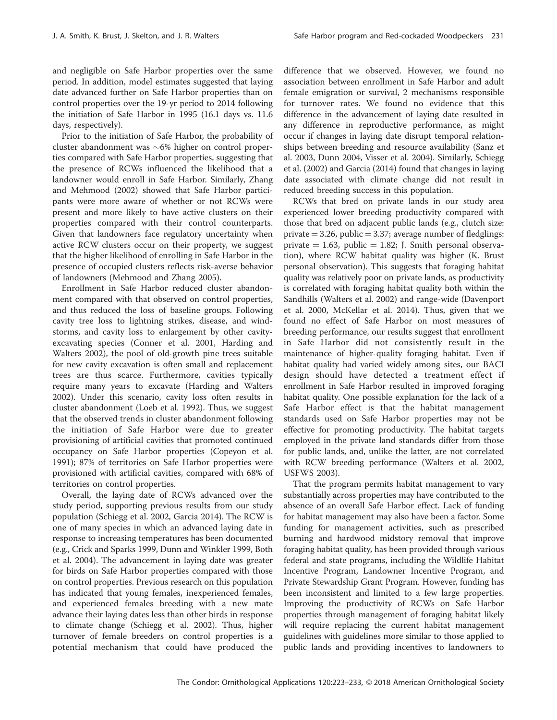and negligible on Safe Harbor properties over the same period. In addition, model estimates suggested that laying date advanced further on Safe Harbor properties than on control properties over the 19-yr period to 2014 following the initiation of Safe Harbor in 1995 (16.1 days vs. 11.6 days, respectively).

Prior to the initiation of Safe Harbor, the probability of cluster abandonment was  $~6\%$  higher on control properties compared with Safe Harbor properties, suggesting that the presence of RCWs influenced the likelihood that a landowner would enroll in Safe Harbor. Similarly, Zhang and Mehmood (2002) showed that Safe Harbor participants were more aware of whether or not RCWs were present and more likely to have active clusters on their properties compared with their control counterparts. Given that landowners face regulatory uncertainty when active RCW clusters occur on their property, we suggest that the higher likelihood of enrolling in Safe Harbor in the presence of occupied clusters reflects risk-averse behavior of landowners (Mehmood and Zhang 2005).

Enrollment in Safe Harbor reduced cluster abandonment compared with that observed on control properties, and thus reduced the loss of baseline groups. Following cavity tree loss to lightning strikes, disease, and windstorms, and cavity loss to enlargement by other cavityexcavating species (Conner et al. 2001, Harding and Walters 2002), the pool of old-growth pine trees suitable for new cavity excavation is often small and replacement trees are thus scarce. Furthermore, cavities typically require many years to excavate (Harding and Walters 2002). Under this scenario, cavity loss often results in cluster abandonment (Loeb et al. 1992). Thus, we suggest that the observed trends in cluster abandonment following the initiation of Safe Harbor were due to greater provisioning of artificial cavities that promoted continued occupancy on Safe Harbor properties (Copeyon et al. 1991); 87% of territories on Safe Harbor properties were provisioned with artificial cavities, compared with 68% of territories on control properties.

Overall, the laying date of RCWs advanced over the study period, supporting previous results from our study population (Schiegg et al. 2002, Garcia 2014). The RCW is one of many species in which an advanced laying date in response to increasing temperatures has been documented (e.g., Crick and Sparks 1999, Dunn and Winkler 1999, Both et al. 2004). The advancement in laying date was greater for birds on Safe Harbor properties compared with those on control properties. Previous research on this population has indicated that young females, inexperienced females, and experienced females breeding with a new mate advance their laying dates less than other birds in response to climate change (Schiegg et al. 2002). Thus, higher turnover of female breeders on control properties is a potential mechanism that could have produced the

difference that we observed. However, we found no association between enrollment in Safe Harbor and adult female emigration or survival, 2 mechanisms responsible for turnover rates. We found no evidence that this difference in the advancement of laying date resulted in any difference in reproductive performance, as might occur if changes in laying date disrupt temporal relationships between breeding and resource availability (Sanz et al. 2003, Dunn 2004, Visser et al. 2004). Similarly, Schiegg et al. (2002) and Garcia (2014) found that changes in laying date associated with climate change did not result in reduced breeding success in this population.

RCWs that bred on private lands in our study area experienced lower breeding productivity compared with those that bred on adjacent public lands (e.g., clutch size: private  $= 3.26$ , public  $= 3.37$ ; average number of fledglings: private  $= 1.63$ , public  $= 1.82$ ; J. Smith personal observation), where RCW habitat quality was higher (K. Brust personal observation). This suggests that foraging habitat quality was relatively poor on private lands, as productivity is correlated with foraging habitat quality both within the Sandhills (Walters et al. 2002) and range-wide (Davenport et al. 2000, McKellar et al. 2014). Thus, given that we found no effect of Safe Harbor on most measures of breeding performance, our results suggest that enrollment in Safe Harbor did not consistently result in the maintenance of higher-quality foraging habitat. Even if habitat quality had varied widely among sites, our BACI design should have detected a treatment effect if enrollment in Safe Harbor resulted in improved foraging habitat quality. One possible explanation for the lack of a Safe Harbor effect is that the habitat management standards used on Safe Harbor properties may not be effective for promoting productivity. The habitat targets employed in the private land standards differ from those for public lands, and, unlike the latter, are not correlated with RCW breeding performance (Walters et al. 2002, USFWS 2003).

That the program permits habitat management to vary substantially across properties may have contributed to the absence of an overall Safe Harbor effect. Lack of funding for habitat management may also have been a factor. Some funding for management activities, such as prescribed burning and hardwood midstory removal that improve foraging habitat quality, has been provided through various federal and state programs, including the Wildlife Habitat Incentive Program, Landowner Incentive Program, and Private Stewardship Grant Program. However, funding has been inconsistent and limited to a few large properties. Improving the productivity of RCWs on Safe Harbor properties through management of foraging habitat likely will require replacing the current habitat management guidelines with guidelines more similar to those applied to public lands and providing incentives to landowners to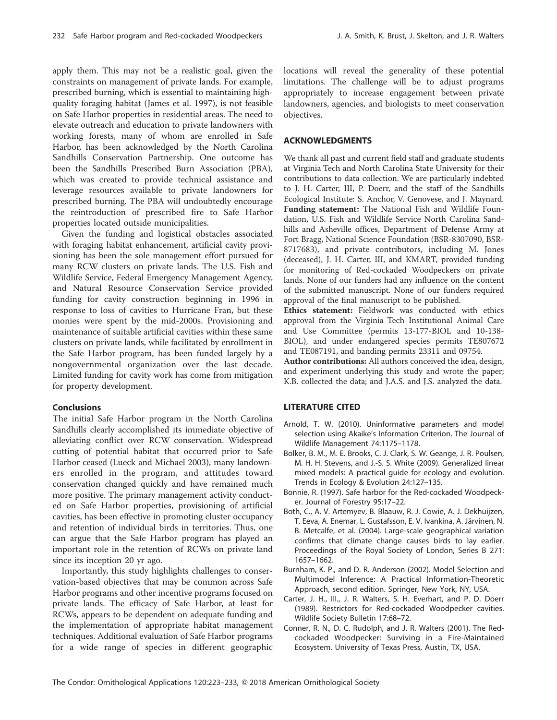apply them. This may not be a realistic goal, given the constraints on management of private lands. For example, prescribed burning, which is essential to maintaining highquality foraging habitat (James et al. 1997), is not feasible on Safe Harbor properties in residential areas. The need to elevate outreach and education to private landowners with working forests, many of whom are enrolled in Safe Harbor, has been acknowledged by the North Carolina Sandhills Conservation Partnership. One outcome has been the Sandhills Prescribed Burn Association (PBA), which was created to provide technical assistance and leverage resources available to private landowners for prescribed burning. The PBA will undoubtedly encourage the reintroduction of prescribed fire to Safe Harbor properties located outside municipalities.

Given the funding and logistical obstacles associated with foraging habitat enhancement, artificial cavity provisioning has been the sole management effort pursued for many RCW clusters on private lands. The U.S. Fish and Wildlife Service, Federal Emergency Management Agency, and Natural Resource Conservation Service provided funding for cavity construction beginning in 1996 in response to loss of cavities to Hurricane Fran, but these monies were spent by the mid-2000s. Provisioning and maintenance of suitable artificial cavities within these same clusters on private lands, while facilitated by enrollment in the Safe Harbor program, has been funded largely by a nongovernmental organization over the last decade. Limited funding for cavity work has come from mitigation for property development.

## Conclusions

The initial Safe Harbor program in the North Carolina Sandhills clearly accomplished its immediate objective of alleviating conflict over RCW conservation. Widespread cutting of potential habitat that occurred prior to Safe Harbor ceased (Lueck and Michael 2003), many landowners enrolled in the program, and attitudes toward conservation changed quickly and have remained much more positive. The primary management activity conducted on Safe Harbor properties, provisioning of artificial cavities, has been effective in promoting cluster occupancy and retention of individual birds in territories. Thus, one can argue that the Safe Harbor program has played an important role in the retention of RCWs on private land since its inception 20 yr ago.

Importantly, this study highlights challenges to conservation-based objectives that may be common across Safe Harbor programs and other incentive programs focused on private lands. The efficacy of Safe Harbor, at least for RCWs, appears to be dependent on adequate funding and the implementation of appropriate habitat management techniques. Additional evaluation of Safe Harbor programs for a wide range of species in different geographic locations will reveal the generality of these potential limitations. The challenge will be to adjust programs appropriately to increase engagement between private landowners, agencies, and biologists to meet conservation objectives.

## ACKNOWLEDGMENTS

We thank all past and current field staff and graduate students at Virginia Tech and North Carolina State University for their contributions to data collection. We are particularly indebted to J. H. Carter, III, P. Doerr, and the staff of the Sandhills Ecological Institute: S. Anchor, V. Genovese, and J. Maynard. Funding statement: The National Fish and Wildlife Foundation, U.S. Fish and Wildlife Service North Carolina Sandhills and Asheville offices, Department of Defense Army at Fort Bragg, National Science Foundation (BSR-8307090, BSR-8717683), and private contributors, including M. Jones (deceased), J. H. Carter, III, and KMART, provided funding for monitoring of Red-cockaded Woodpeckers on private lands. None of our funders had any influence on the content of the submitted manuscript. None of our funders required approval of the final manuscript to be published.

Ethics statement: Fieldwork was conducted with ethics approval from the Virginia Tech Institutional Animal Care and Use Committee (permits 13-177-BIOL and 10-138- BIOL), and under endangered species permits TE807672 and TE087191, and banding permits 23311 and 09754.

Author contributions: All authors conceived the idea, design, and experiment underlying this study and wrote the paper; K.B. collected the data; and J.A.S. and J.S. analyzed the data.

## LITERATURE CITED

- Arnold, T. W. (2010). Uninformative parameters and model selection using Akaike's Information Criterion. The Journal of Wildlife Management 74:1175–1178.
- Bolker, B. M., M. E. Brooks, C. J. Clark, S. W. Geange, J. R. Poulsen, M. H. H. Stevens, and J.-S. S. White (2009). Generalized linear mixed models: A practical guide for ecology and evolution. Trends in Ecology & Evolution 24:127–135.
- Bonnie, R. (1997). Safe harbor for the Red-cockaded Woodpecker. Journal of Forestry 95:17–22.
- Both, C., A. V. Artemyev, B. Blaauw, R. J. Cowie, A. J. Dekhuijzen, T. Eeva, A. Enemar, L. Gustafsson, E. V. Ivankina, A. Järvinen, N. B. Metcalfe, et al. (2004). Large-scale geographical variation confirms that climate change causes birds to lay earlier. Proceedings of the Royal Society of London, Series B 271: 1657–1662.
- Burnham, K. P., and D. R. Anderson (2002). Model Selection and Multimodel Inference: A Practical Information-Theoretic Approach, second edition. Springer, New York, NY, USA.
- Carter, J. H., III., J. R. Walters, S. H. Everhart, and P. D. Doerr (1989). Restrictors for Red-cockaded Woodpecker cavities. Wildlife Society Bulletin 17:68–72.
- Conner, R. N., D. C. Rudolph, and J. R. Walters (2001). The Redcockaded Woodpecker: Surviving in a Fire-Maintained Ecosystem. University of Texas Press, Austin, TX, USA.